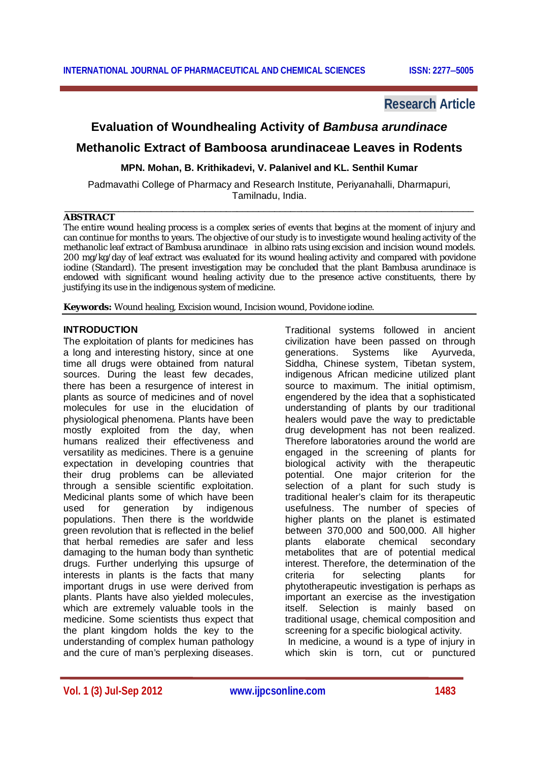# **Research Article**

# **Evaluation of Woundhealing Activity of** *Bambusa arundinace*

# **Methanolic Extract of Bamboosa arundinaceae Leaves in Rodents**

**MPN. Mohan, B. Krithikadevi, V. Palanivel and KL. Senthil Kumar**

Padmavathi College of Pharmacy and Research Institute, Periyanahalli, Dharmapuri, Tamilnadu, India. \_\_\_\_\_\_\_\_\_\_\_\_\_\_\_\_\_\_\_\_\_\_\_\_\_\_\_\_\_\_\_\_\_\_\_\_\_\_\_\_\_\_\_\_\_\_\_\_\_\_\_\_\_\_\_\_\_\_\_\_\_\_\_\_\_\_\_\_\_\_\_\_\_\_\_\_

# **ABSTRACT**

The entire wound healing process is a complex series of events that begins at the moment of injury and can continue for months to years. The objective of our study is to investigate wound healing activity of the methanolic leaf extract of Bambusa arundinace in albino rats using excision and incision wound models. 200 mg/kg/day of leaf extract was evaluated for its wound healing activity and compared with povidone iodine (Standard). The present investigation may be concluded that the plant Bambusa arundinace is endowed with significant wound healing activity due to the presence active constituents, there by justifying its use in the indigenous system of medicine.

**Keywords:** Wound healing, Excision wound, Incision wound, Povidone iodine.

# **INTRODUCTION**

The exploitation of plants for medicines has a long and interesting history, since at one time all drugs were obtained from natural sources. During the least few decades, there has been a resurgence of interest in plants as source of medicines and of novel molecules for use in the elucidation of physiological phenomena. Plants have been mostly exploited from the day, when humans realized their effectiveness and versatility as medicines. There is a genuine expectation in developing countries that their drug problems can be alleviated through a sensible scientific exploitation. Medicinal plants some of which have been used for generation by indigenous populations. Then there is the worldwide green revolution that is reflected in the belief that herbal remedies are safer and less damaging to the human body than synthetic drugs. Further underlying this upsurge of interests in plants is the facts that many important drugs in use were derived from plants. Plants have also yielded molecules, which are extremely valuable tools in the medicine. Some scientists thus expect that the plant kingdom holds the key to the understanding of complex human pathology and the cure of man's perplexing diseases.

Traditional systems followed in ancient civilization have been passed on through generations. Systems like Ayurveda, Siddha, Chinese system, Tibetan system, indigenous African medicine utilized plant source to maximum. The initial optimism, engendered by the idea that a sophisticated understanding of plants by our traditional healers would pave the way to predictable drug development has not been realized. Therefore laboratories around the world are engaged in the screening of plants for biological activity with the therapeutic potential. One major criterion for the selection of a plant for such study is traditional healer's claim for its therapeutic usefulness. The number of species of higher plants on the planet is estimated between 370,000 and 500,000. All higher plants elaborate chemical secondary metabolites that are of potential medical interest. Therefore, the determination of the criteria for selecting plants for phytotherapeutic investigation is perhaps as important an exercise as the investigation itself. Selection is mainly based on traditional usage, chemical composition and screening for a specific biological activity.

In medicine, a wound is a type of injury in which skin is torn, cut or punctured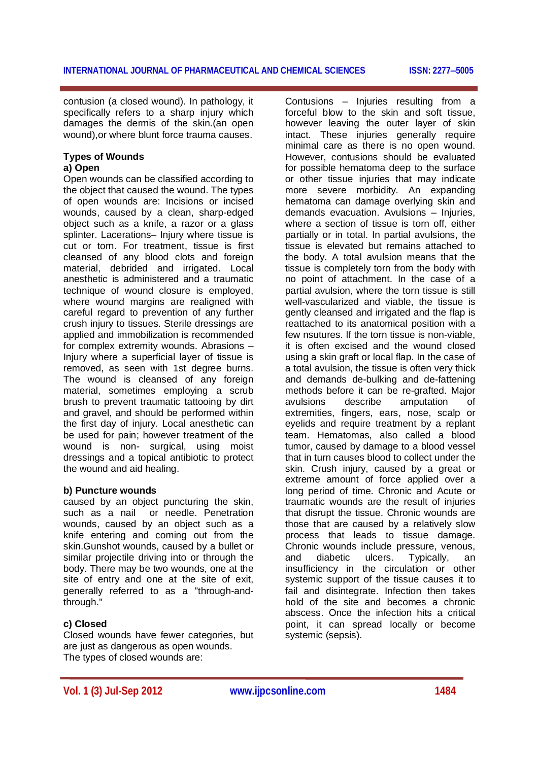contusion (a closed wound). In pathology, it specifically refers to a sharp injury which damages the dermis of the skin.(an open wound),or where blunt force trauma causes.

#### **Types of Wounds a) Open**

Open wounds can be classified according to the object that caused the wound. The types of open wounds are: Incisions or incised wounds, caused by a clean, sharp-edged object such as a knife, a razor or a glass splinter. Lacerations– Injury where tissue is cut or torn. For treatment, tissue is first cleansed of any blood clots and foreign material, debrided and irrigated. Local anesthetic is administered and a traumatic technique of wound closure is employed, where wound margins are realigned with careful regard to prevention of any further crush injury to tissues. Sterile dressings are applied and immobilization is recommended for complex extremity wounds. Abrasions – Injury where a superficial layer of tissue is removed, as seen with 1st degree burns. The wound is cleansed of any foreign material, sometimes employing a scrub brush to prevent traumatic tattooing by dirt and gravel, and should be performed within the first day of injury. Local anesthetic can be used for pain; however treatment of the wound is non- surgical, using moist dressings and a topical antibiotic to protect the wound and aid healing.

# **b) Puncture wounds**

caused by an object puncturing the skin, such as a nail or needle. Penetration wounds, caused by an object such as a knife entering and coming out from the skin.Gunshot wounds, caused by a bullet or similar projectile driving into or through the body. There may be two wounds, one at the site of entry and one at the site of exit, generally referred to as a "through-andthrough."

# **c) Closed**

Closed wounds have fewer categories, but are just as dangerous as open wounds. The types of closed wounds are:

Contusions – Injuries resulting from a forceful blow to the skin and soft tissue, however leaving the outer layer of skin intact. These injuries generally require minimal care as there is no open wound. However, contusions should be evaluated for possible hematoma deep to the surface or other tissue injuries that may indicate more severe morbidity. An expanding hematoma can damage overlying skin and demands evacuation. Avulsions – Injuries, where a section of tissue is torn off, either partially or in total. In partial avulsions, the tissue is elevated but remains attached to the body. A total avulsion means that the tissue is completely torn from the body with no point of attachment. In the case of a partial avulsion, where the torn tissue is still well-vascularized and viable, the tissue is gently cleansed and irrigated and the flap is reattached to its anatomical position with a few nsutures. If the torn tissue is non-viable, it is often excised and the wound closed using a skin graft or local flap. In the case of a total avulsion, the tissue is often very thick and demands de-bulking and de-fattening methods before it can be re-grafted. Major avulsions describe amputation of extremities, fingers, ears, nose, scalp or eyelids and require treatment by a replant team. Hematomas, also called a blood tumor, caused by damage to a blood vessel that in turn causes blood to collect under the skin. Crush injury, caused by a great or extreme amount of force applied over a long period of time. Chronic and Acute or traumatic wounds are the result of injuries that disrupt the tissue. Chronic wounds are those that are caused by a relatively slow process that leads to tissue damage. Chronic wounds include pressure, venous, and diabetic ulcers. Typically, an insufficiency in the circulation or other systemic support of the tissue causes it to fail and disintegrate. Infection then takes hold of the site and becomes a chronic abscess. Once the infection hits a critical point, it can spread locally or become systemic (sepsis).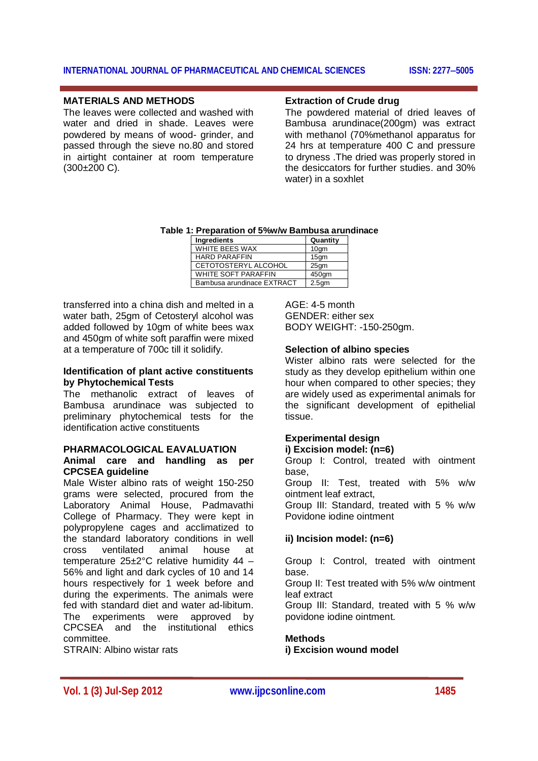#### **MATERIALS AND METHODS**

The leaves were collected and washed with water and dried in shade. Leaves were powdered by means of wood- grinder, and passed through the sieve no.80 and stored in airtight container at room temperature  $(300\pm200 \text{ C})$ .

# **Extraction of Crude drug**

The powdered material of dried leaves of Bambusa arundinace(200gm) was extract with methanol (70%methanol apparatus for 24 hrs at temperature 400 C and pressure to dryness .The dried was properly stored in the desiccators for further studies. and 30% water) in a soxhlet

| Table 1: Preparation of 5%w/w Bambusa arundinace |                            |                   |  |  |  |  |
|--------------------------------------------------|----------------------------|-------------------|--|--|--|--|
|                                                  | Ingredients                | Quantity          |  |  |  |  |
|                                                  | WHITE BEES WAX             | 10 <sub>q</sub> m |  |  |  |  |
|                                                  | <b>HARD PARAFFIN</b>       | 15 <sub>gm</sub>  |  |  |  |  |
|                                                  | CETOTOSTERYL ALCOHOL       | 25 <sub>gm</sub>  |  |  |  |  |
|                                                  | WHITE SOFT PARAFFIN        | 450am             |  |  |  |  |
|                                                  | Bambusa arundinace EXTRACT | 2.5 <sub>gm</sub> |  |  |  |  |

transferred into a china dish and melted in a water bath, 25gm of Cetosteryl alcohol was added followed by 10gm of white bees wax and 450gm of white soft paraffin were mixed at a temperature of 700c till it solidify.

# **Identification of plant active constituents by Phytochemical Tests**

The methanolic extract of leaves of Bambusa arundinace was subjected to preliminary phytochemical tests for the identification active constituents

#### **PHARMACOLOGICAL EAVALUATION**

# **Animal care and handling as per CPCSEA guideline**

Male Wister albino rats of weight 150-250 grams were selected, procured from the Laboratory Animal House, Padmavathi College of Pharmacy. They were kept in polypropylene cages and acclimatized to the standard laboratory conditions in well<br>cross ventilated animal house at cross ventilated animal house at temperature 25±2°C relative humidity 44 – 56% and light and dark cycles of 10 and 14 hours respectively for 1 week before and during the experiments. The animals were fed with standard diet and water ad-libitum. The experiments were approved by CPCSEA and the institutional ethics committee.

STRAIN: Albino wistar rats

 $AGF: 4-5$  month GENDER: either sex BODY WEIGHT: -150-250gm.

#### **Selection of albino species**

Wister albino rats were selected for the study as they develop epithelium within one hour when compared to other species; they are widely used as experimental animals for the significant development of epithelial tissue.

# **Experimental design**

# **i) Excision model: (n=6)**

Group I: Control, treated with ointment base,

Group II: Test, treated with 5% w/w ointment leaf extract,

Group III: Standard, treated with 5 % w/w Povidone iodine ointment

# **ii) Incision model: (n=6)**

Group I: Control, treated with ointment base.

Group II: Test treated with 5% w/w ointment leaf extract

Group III: Standard, treated with 5 % w/w povidone iodine ointment.

#### **Methods**

**i) Excision wound model**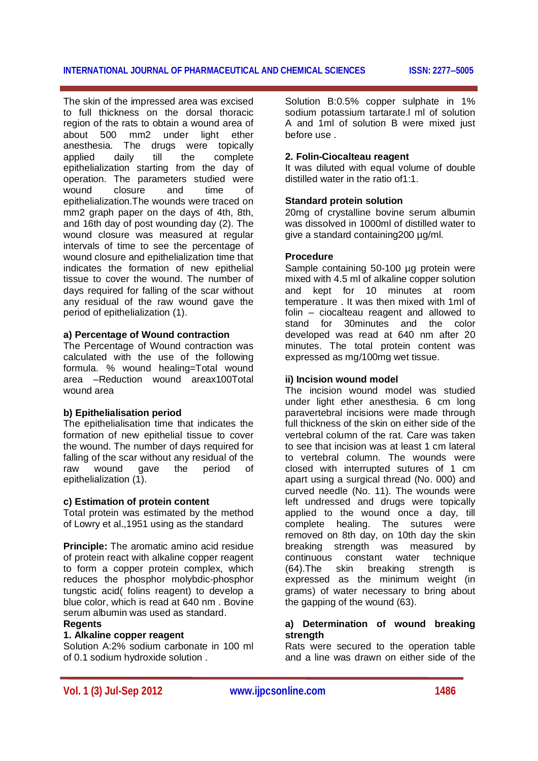The skin of the impressed area was excised to full thickness on the dorsal thoracic region of the rats to obtain a wound area of about 500 mm2 under light ether anesthesia. The drugs were topically applied daily till the complete epithelialization starting from the day of operation. The parameters studied were wound closure and time of epithelialization.The wounds were traced on mm2 graph paper on the days of 4th, 8th, and 16th day of post wounding day (2). The wound closure was measured at regular intervals of time to see the percentage of wound closure and epithelialization time that indicates the formation of new epithelial tissue to cover the wound. The number of days required for falling of the scar without any residual of the raw wound gave the period of epithelialization (1).

#### **a) Percentage of Wound contraction**

The Percentage of Wound contraction was calculated with the use of the following formula. % wound healing=Total wound area –Reduction wound areax100Total wound area

# **b) Epithelialisation period**

The epithelialisation time that indicates the formation of new epithelial tissue to cover the wound. The number of days required for falling of the scar without any residual of the raw wound gave the period of epithelialization (1).

# **c) Estimation of protein content**

Total protein was estimated by the method of Lowry et al.,1951 using as the standard

**Principle:** The aromatic amino acid residue of protein react with alkaline copper reagent to form a copper protein complex, which reduces the phosphor molybdic-phosphor tungstic acid( folins reagent) to develop a blue color, which is read at 640 nm. Bovine serum albumin was used as standard.

#### **Regents**

#### **1. Alkaline copper reagent**

Solution A:2% sodium carbonate in 100 ml of 0.1 sodium hydroxide solution .

Solution B:0.5% copper sulphate in 1% sodium potassium tartarate.l ml of solution A and 1ml of solution B were mixed just before use .

#### **2. Folin-Ciocalteau reagent**

It was diluted with equal volume of double distilled water in the ratio of1:1.

#### **Standard protein solution**

20mg of crystalline bovine serum albumin was dissolved in 1000ml of distilled water to give a standard containing200 µg/ml.

#### **Procedure**

Sample containing 50-100 µg protein were mixed with 4.5 ml of alkaline copper solution and kept for 10 minutes at room temperature . It was then mixed with 1ml of folin – ciocalteau reagent and allowed to stand for 30minutes and the color developed was read at 640 nm after 20 minutes. The total protein content was expressed as mg/100mg wet tissue.

#### **ii) Incision wound model**

The incision wound model was studied under light ether anesthesia. 6 cm long paravertebral incisions were made through full thickness of the skin on either side of the vertebral column of the rat. Care was taken to see that incision was at least 1 cm lateral to vertebral column. The wounds were closed with interrupted sutures of 1 cm apart using a surgical thread (No. 000) and curved needle (No. 11). The wounds were left undressed and drugs were topically applied to the wound once a day, till complete healing. The sutures were removed on 8th day, on 10th day the skin breaking strength was measured by continuous constant water technique (64).The skin breaking strength is expressed as the minimum weight (in grams) of water necessary to bring about the gapping of the wound (63).

# **a) Determination of wound breaking strength**

Rats were secured to the operation table and a line was drawn on either side of the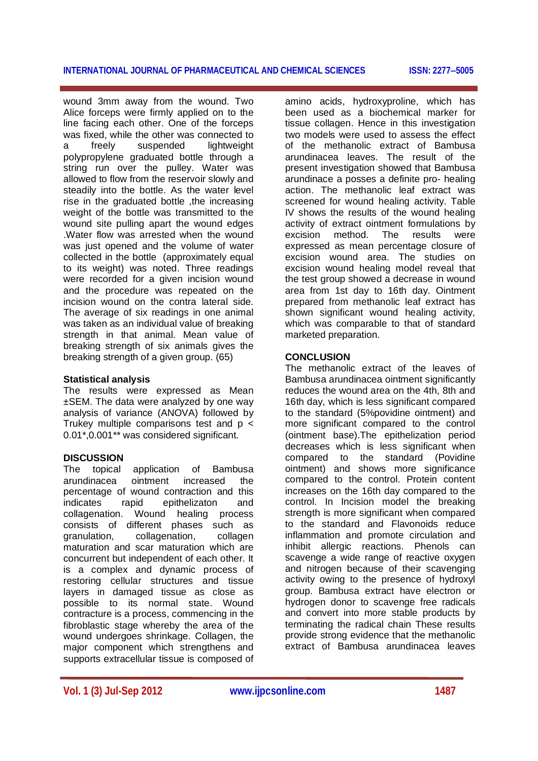wound 3mm away from the wound. Two Alice forceps were firmly applied on to the line facing each other. One of the forceps was fixed, while the other was connected to a freely suspended lightweight polypropylene graduated bottle through a string run over the pulley. Water was allowed to flow from the reservoir slowly and steadily into the bottle. As the water level rise in the graduated bottle ,the increasing weight of the bottle was transmitted to the wound site pulling apart the wound edges .Water flow was arrested when the wound was just opened and the volume of water collected in the bottle (approximately equal to its weight) was noted. Three readings were recorded for a given incision wound and the procedure was repeated on the incision wound on the contra lateral side. The average of six readings in one animal was taken as an individual value of breaking strength in that animal. Mean value of breaking strength of six animals gives the breaking strength of a given group. (65)

# **Statistical analysis**

The results were expressed as Mean ±SEM. The data were analyzed by one way analysis of variance (ANOVA) followed by Trukey multiple comparisons test and  $p <$ 0.01\*,0.001\*\* was considered significant.

# **DISCUSSION**

The topical application of Bambusa arundinacea ointment increased the percentage of wound contraction and this indicates rapid epithelizaton and collagenation. Wound healing process consists of different phases such as granulation, collagenation, collagen maturation and scar maturation which are concurrent but independent of each other. It is a complex and dynamic process of restoring cellular structures and tissue layers in damaged tissue as close as possible to its normal state. Wound contracture is a process, commencing in the fibroblastic stage whereby the area of the wound undergoes shrinkage. Collagen, the major component which strengthens and supports extracellular tissue is composed of

amino acids, hydroxyproline, which has been used as a biochemical marker for tissue collagen. Hence in this investigation two models were used to assess the effect of the methanolic extract of Bambusa arundinacea leaves. The result of the present investigation showed that Bambusa arundinace a posses a definite pro- healing action. The methanolic leaf extract was screened for wound healing activity. Table IV shows the results of the wound healing activity of extract ointment formulations by<br>excision method. The results were excision method. The results were expressed as mean percentage closure of excision wound area. The studies on excision wound healing model reveal that the test group showed a decrease in wound area from 1st day to 16th day. Ointment prepared from methanolic leaf extract has shown significant wound healing activity, which was comparable to that of standard marketed preparation.

# **CONCLUSION**

The methanolic extract of the leaves of Bambusa arundinacea ointment significantly reduces the wound area on the 4th, 8th and 16th day, which is less significant compared to the standard (5%povidine ointment) and more significant compared to the control (ointment base).The epithelization period decreases which is less significant when compared to the standard (Povidine ointment) and shows more significance compared to the control. Protein content increases on the 16th day compared to the control. In Incision model the breaking strength is more significant when compared to the standard and Flavonoids reduce inflammation and promote circulation and inhibit allergic reactions. Phenols can scavenge a wide range of reactive oxygen and nitrogen because of their scavenging activity owing to the presence of hydroxyl group. Bambusa extract have electron or hydrogen donor to scavenge free radicals and convert into more stable products by terminating the radical chain These results provide strong evidence that the methanolic extract of Bambusa arundinacea leaves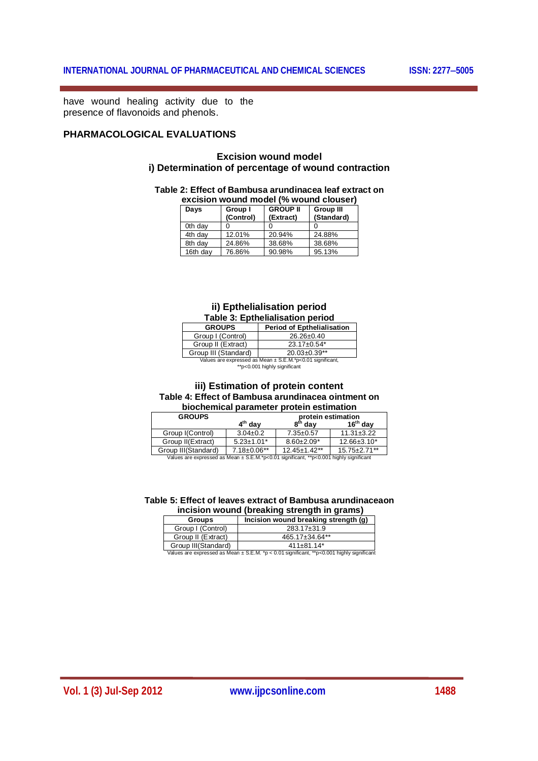have wound healing activity due to the presence of flavonoids and phenols.

# **PHARMACOLOGICAL EVALUATIONS**

# **Excision wound model i) Determination of percentage of wound contraction**

#### **Table 2: Effect of Bambusa arundinacea leaf extract on**

| excision wound model (% wound clouser) |          |                      |                              |                                |  |  |  |
|----------------------------------------|----------|----------------------|------------------------------|--------------------------------|--|--|--|
|                                        | Days     | Group I<br>(Control) | <b>GROUP II</b><br>(Extract) | <b>Group III</b><br>(Standard) |  |  |  |
|                                        | 0th day  |                      |                              |                                |  |  |  |
|                                        | 4th day  | 12.01%               | 20.94%                       | 24.88%                         |  |  |  |
|                                        | 8th day  | 24.86%               | 38.68%                       | 38.68%                         |  |  |  |
|                                        | 16th day | 76.86%               | 90.98%                       | 95.13%                         |  |  |  |

#### **ii) Epthelialisation period Table 3: Epthelialisation period**

| <b>GROUPS</b>                                             | <b>Period of Epthelialisation</b> |  |  |  |  |
|-----------------------------------------------------------|-----------------------------------|--|--|--|--|
| Group I (Control)                                         | $26.26 \pm 0.40$                  |  |  |  |  |
| Group II (Extract)                                        | $23.17 \pm 0.54$ *                |  |  |  |  |
| Group III (Standard)                                      | $20.03 \pm 0.39**$                |  |  |  |  |
| Values are expressed as Mean ± S.E.M.*p<0.01 significant, |                                   |  |  |  |  |

\*\*p<0.001 highly significant

#### **iii) Estimation of protein content Table 4: Effect of Bambusa arundinacea ointment on biochemical parameter protein estimation**

| <b>GROUPS</b>    |                     |                              | protein estimation  |                     |  |  |  |
|------------------|---------------------|------------------------------|---------------------|---------------------|--|--|--|
|                  |                     | $4th$ dav                    | 8 <sup>th</sup> dav | $16th$ dav          |  |  |  |
| Group I(Control) |                     | $3.04 \pm 0.2$               | $7.35 \pm 0.57$     | $11.31 \pm 3.22$    |  |  |  |
|                  | Group II(Extract)   | $5.23 \pm 1.01$ <sup>*</sup> | $8.60 \pm 2.09*$    | $12.66 \pm 3.10^*$  |  |  |  |
|                  | Group III(Standard) | $7.18 \pm 0.06**$            | $12.45 \pm 1.42$ ** | $15.75 \pm 2.71$ ** |  |  |  |

Group III(Standard) | 7.18±0.06\*\* | 12.45±1.42\*\* | 15.75±2.71\*\*<br>Values are expressed as Mean ± S.E.M.\*p<0.01 significant, \*\*p<0.001 highly significant

#### **Table 5: Effect of leaves extract of Bambusa arundinaceaon incision wound (breaking strength in grams)**

| <b>Groups</b>       | Incision wound breaking strength (g) |  |  |  |  |
|---------------------|--------------------------------------|--|--|--|--|
| Group I (Control)   | $283.17 \pm 31.9$                    |  |  |  |  |
| Group II (Extract)  | 465.17±34.64**                       |  |  |  |  |
| Group III(Standard) | $411\pm81.14*$                       |  |  |  |  |

|  | Values are expressed as Mean $\pm$ S.E.M. *p < 0.01 significant, **p<0.001 highly significant |  |  |  |  |
|--|-----------------------------------------------------------------------------------------------|--|--|--|--|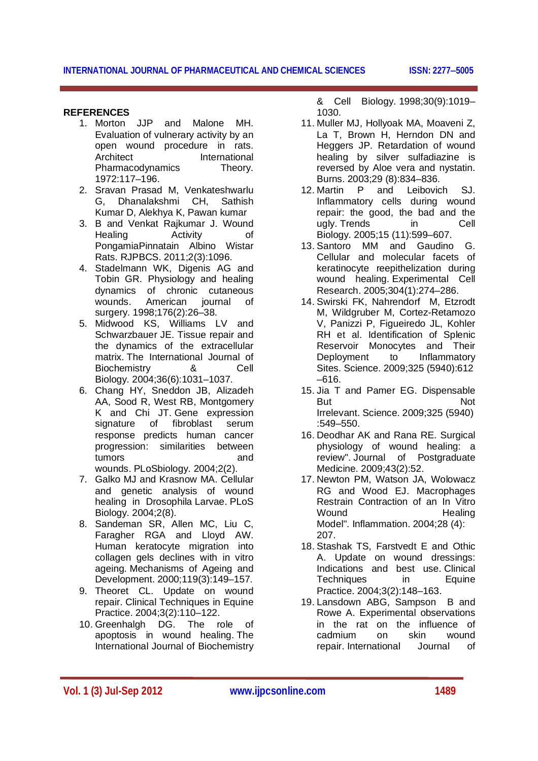# **REFERENCES**

- 1. Morton JJP and Malone MH. Evaluation of vulnerary activity by an open wound procedure in rats. Architect International Pharmacodynamics Theory. 1972:117–196.
- 2. Sravan Prasad M, Venkateshwarlu G, Dhanalakshmi CH, Sathish Kumar D, Alekhya K, Pawan kumar
- 3. B and Venkat Rajkumar J. Wound Healing Activity of PongamiaPinnatain Albino Wistar Rats. RJPBCS. 2011;2(3):1096.
- 4. Stadelmann WK, Digenis AG and Tobin GR. Physiology and healing dynamics of chronic cutaneous wounds. American journal of surgery. 1998;176(2):26–38.
- 5. Midwood KS, Williams LV and Schwarzbauer JE. Tissue repair and the dynamics of the extracellular matrix. The International Journal of Biochemistry & Cell Biology. 2004;36(6):1031–1037.
- 6. Chang HY, Sneddon JB, Alizadeh AA, Sood R, West RB, Montgomery K and Chi JT. Gene expression signature of fibroblast serum response predicts human cancer progression: similarities between tumors and wounds. PLoSbiology. 2004;2(2).
- 7. Galko MJ and Krasnow MA. Cellular and genetic analysis of wound healing in Drosophila Larvae. PLoS Biology. 2004;2(8).
- 8. Sandeman SR, Allen MC, Liu C, Faragher RGA and Lloyd AW. Human keratocyte migration into collagen gels declines with in vitro ageing. Mechanisms of Ageing and Development. 2000;119(3):149–157.
- 9. Theoret CL. Update on wound repair. Clinical Techniques in Equine Practice. 2004;3(2):110–122.
- 10. Greenhalgh DG. The role of apoptosis in wound healing. The International Journal of Biochemistry

& Cell Biology. 1998;30(9):1019– 1030.

- 11. Muller MJ, Hollyoak MA, Moaveni Z, La T. Brown H. Herndon DN and Heggers JP. Retardation of wound healing by silver sulfadiazine is reversed by Aloe vera and nystatin. Burns. 2003;29 (8):834–836.
- 12. Martin P and Leibovich SJ. Inflammatory cells during wound repair: the good, the bad and the ugly. Trends in Cell Biology. 2005;15 (11):599–607.
- 13. Santoro MM and Gaudino G. Cellular and molecular facets of keratinocyte reepithelization during wound healing. Experimental Cell Research. 2005;304(1):274–286.
- 14. Swirski FK, Nahrendorf M, Etzrodt M, Wildgruber M, Cortez-Retamozo V, Panizzi P, Figueiredo JL, Kohler RH et al. Identification of Splenic Reservoir Monocytes and Their Deployment to Inflammatory Sites. Science. 2009;325 (5940):612 –616.
- 15. Jia T and Pamer EG. Dispensable But Not Irrelevant. Science. 2009;325 (5940) :549–550.
- 16. Deodhar AK and Rana RE. Surgical physiology of wound healing: a review". Journal of Postgraduate Medicine. 2009;43(2):52.
- 17. Newton PM, Watson JA, Wolowacz RG and Wood EJ. Macrophages Restrain Contraction of an In Vitro Wound Healing Model". Inflammation. 2004;28 (4): 207.
- 18. Stashak TS, Farstvedt E and Othic A. Update on wound dressings: Indications and best use. Clinical<br>Techniques in Equine Techniques in Practice. 2004;3(2):148–163.
- 19. Lansdown ABG, Sampson B and Rowe A. Experimental observations in the rat on the influence of cadmium on skin wound repair. International Journal of